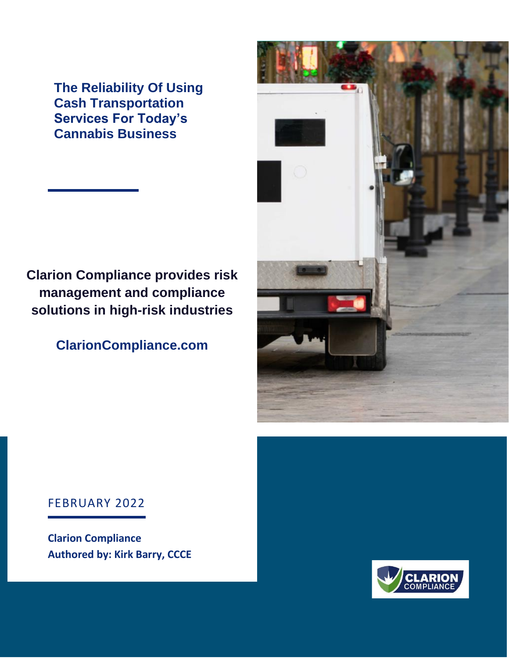**The Reliability Of Using Cash Transportation Services For Today's Cannabis Business**

# **Clarion Compliance provides risk management and compliance solutions in high-risk industries**

# **ClarionCompliance.com**



#### FEBRUARY 2022

**Clarion Compliance Authored by: Kirk Barry, CCCE**

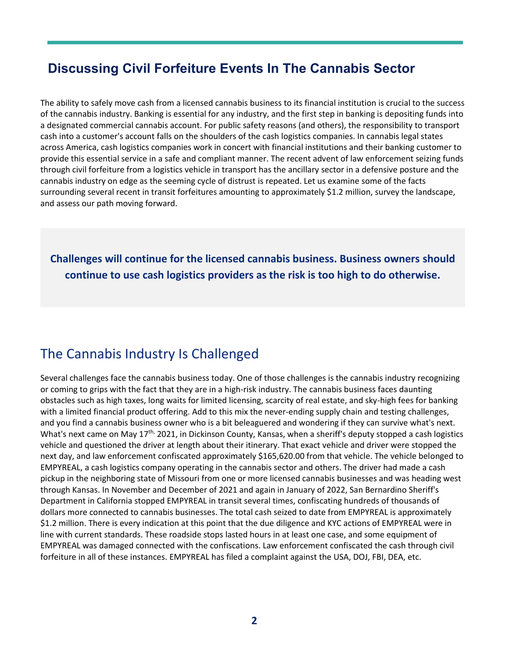#### **Discussing Civil Forfeiture Events In The Cannabis Sector**

The ability to safely move cash from a licensed cannabis business to its financial institution is crucial to the success of the cannabis industry. Banking is essential for any industry, and the first step in banking is depositing funds into a designated commercial cannabis account. For public safety reasons (and others), the responsibility to transport cash into a customer's account falls on the shoulders of the cash logistics companies. In cannabis legal states across America, cash logistics companies work in concert with financial institutions and their banking customer to provide this essential service in a safe and compliant manner. The recent advent of law enforcement seizing funds through civil forfeiture from a logistics vehicle in transport has the ancillary sector in a defensive posture and the cannabis industry on edge as the seeming cycle of distrust is repeated. Let us examine some of the facts surrounding several recent in transit forfeitures amounting to approximately \$1.2 million, survey the landscape, and assess our path moving forward.

**Challenges will continue for the licensed cannabis business. Business owners should continue to use cash logistics providers as the risk is too high to do otherwise.**

### The Cannabis Industry Is Challenged

Several challenges face the cannabis business today. One of those challenges is the cannabis industry recognizing or coming to grips with the fact that they are in a high-risk industry. The cannabis business faces daunting obstacles such as high taxes, long waits for limited licensing, scarcity of real estate, and sky-high fees for banking with a limited financial product offering. Add to this mix the never-ending supply chain and testing challenges, and you find a cannabis business owner who is a bit beleaguered and wondering if they can survive what's next. What's next came on May  $17^{th}$ , 2021, in Dickinson County, Kansas, when a sheriff's deputy stopped a cash logistics vehicle and questioned the driver at length about their itinerary. That exact vehicle and driver were stopped the next day, and law enforcement confiscated approximately \$165,620.00 from that vehicle. The vehicle belonged to EMPYREAL, a cash logistics company operating in the cannabis sector and others. The driver had made a cash pickup in the neighboring state of Missouri from one or more licensed cannabis businesses and was heading west through Kansas. In November and December of 2021 and again in January of 2022, San Bernardino Sheriff's Department in California stopped EMPYREAL in transit several times, confiscating hundreds of thousands of dollars more connected to cannabis businesses. The total cash seized to date from EMPYREAL is approximately \$1.2 million. There is every indication at this point that the due diligence and KYC actions of EMPYREAL were in line with current standards. These roadside stops lasted hours in at least one case, and some equipment of EMPYREAL was damaged connected with the confiscations. Law enforcement confiscated the cash through civil forfeiture in all of these instances. EMPYREAL has filed a complaint against the USA, DOJ, FBI, DEA, etc.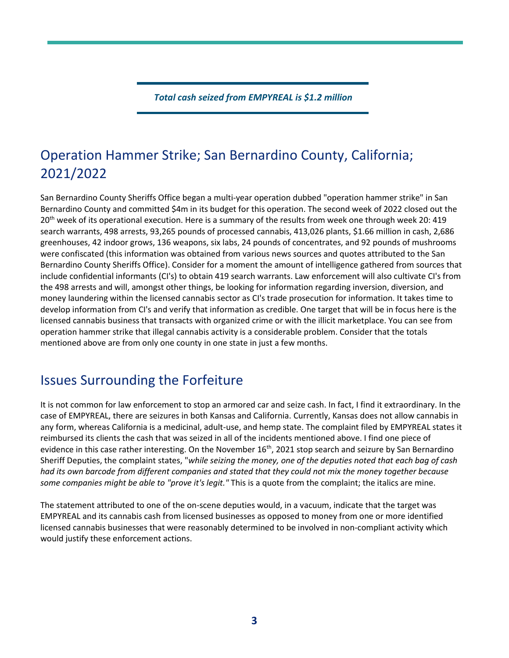*Total cash seized from EMPYREAL is \$1.2 million*

# Operation Hammer Strike; San Bernardino County, California; 2021/2022

San Bernardino County Sheriffs Office began a multi-year operation dubbed "operation hammer strike" in San Bernardino County and committed \$4m in its budget for this operation. The second week of 2022 closed out the 20<sup>th</sup> week of its operational execution. Here is a summary of the results from week one through week 20: 419 search warrants, 498 arrests, 93,265 pounds of processed cannabis, 413,026 plants, \$1.66 million in cash, 2,686 greenhouses, 42 indoor grows, 136 weapons, six labs, 24 pounds of concentrates, and 92 pounds of mushrooms were confiscated (this information was obtained from various news sources and quotes attributed to the San Bernardino County Sheriffs Office). Consider for a moment the amount of intelligence gathered from sources that include confidential informants (CI's) to obtain 419 search warrants. Law enforcement will also cultivate CI's from the 498 arrests and will, amongst other things, be looking for information regarding inversion, diversion, and money laundering within the licensed cannabis sector as CI's trade prosecution for information. It takes time to develop information from CI's and verify that information as credible. One target that will be in focus here is the licensed cannabis business that transacts with organized crime or with the illicit marketplace. You can see from operation hammer strike that illegal cannabis activity is a considerable problem. Consider that the totals mentioned above are from only one county in one state in just a few months.

### Issues Surrounding the Forfeiture

It is not common for law enforcement to stop an armored car and seize cash. In fact, I find it extraordinary. In the case of EMPYREAL, there are seizures in both Kansas and California. Currently, Kansas does not allow cannabis in any form, whereas California is a medicinal, adult-use, and hemp state. The complaint filed by EMPYREAL states it reimbursed its clients the cash that was seized in all of the incidents mentioned above. I find one piece of evidence in this case rather interesting. On the November 16<sup>th</sup>, 2021 stop search and seizure by San Bernardino Sheriff Deputies, the complaint states, "*while seizing the money, one of the deputies noted that each bag of cash had its own barcode from different companies and stated that they could not mix the money together because some companies might be able to "prove it's legit."* This is a quote from the complaint; the italics are mine.

The statement attributed to one of the on-scene deputies would, in a vacuum, indicate that the target was EMPYREAL and its cannabis cash from licensed businesses as opposed to money from one or more identified licensed cannabis businesses that were reasonably determined to be involved in non-compliant activity which would justify these enforcement actions.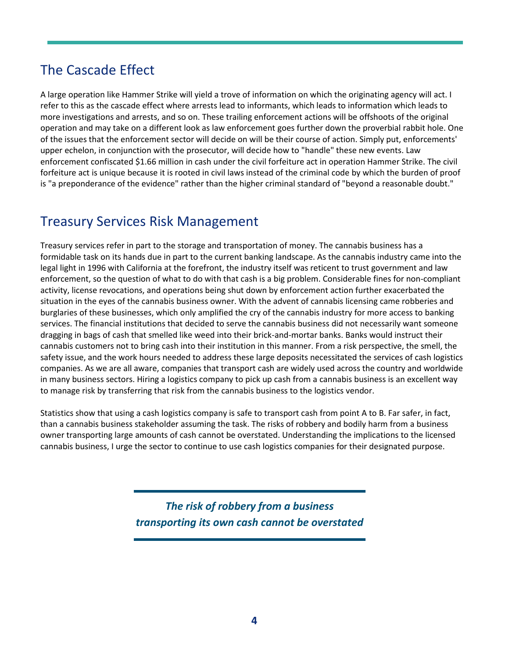# The Cascade Effect

A large operation like Hammer Strike will yield a trove of information on which the originating agency will act. I refer to this as the cascade effect where arrests lead to informants, which leads to information which leads to more investigations and arrests, and so on. These trailing enforcement actions will be offshoots of the original operation and may take on a different look as law enforcement goes further down the proverbial rabbit hole. One of the issues that the enforcement sector will decide on will be their course of action. Simply put, enforcements' upper echelon, in conjunction with the prosecutor, will decide how to "handle" these new events. Law enforcement confiscated \$1.66 million in cash under the civil forfeiture act in operation Hammer Strike. The civil forfeiture act is unique because it is rooted in civil laws instead of the criminal code by which the burden of proof is "a preponderance of the evidence" rather than the higher criminal standard of "beyond a reasonable doubt."

# Treasury Services Risk Management

Treasury services refer in part to the storage and transportation of money. The cannabis business has a formidable task on its hands due in part to the current banking landscape. As the cannabis industry came into the legal light in 1996 with California at the forefront, the industry itself was reticent to trust government and law enforcement, so the question of what to do with that cash is a big problem. Considerable fines for non-compliant activity, license revocations, and operations being shut down by enforcement action further exacerbated the situation in the eyes of the cannabis business owner. With the advent of cannabis licensing came robberies and burglaries of these businesses, which only amplified the cry of the cannabis industry for more access to banking services. The financial institutions that decided to serve the cannabis business did not necessarily want someone dragging in bags of cash that smelled like weed into their brick-and-mortar banks. Banks would instruct their cannabis customers not to bring cash into their institution in this manner. From a risk perspective, the smell, the safety issue, and the work hours needed to address these large deposits necessitated the services of cash logistics companies. As we are all aware, companies that transport cash are widely used across the country and worldwide in many business sectors. Hiring a logistics company to pick up cash from a cannabis business is an excellent way to manage risk by transferring that risk from the cannabis business to the logistics vendor.

Statistics show that using a cash logistics company is safe to transport cash from point A to B. Far safer, in fact, than a cannabis business stakeholder assuming the task. The risks of robbery and bodily harm from a business owner transporting large amounts of cash cannot be overstated. Understanding the implications to the licensed cannabis business, I urge the sector to continue to use cash logistics companies for their designated purpose.

> *The risk of robbery from a business transporting its own cash cannot be overstated*